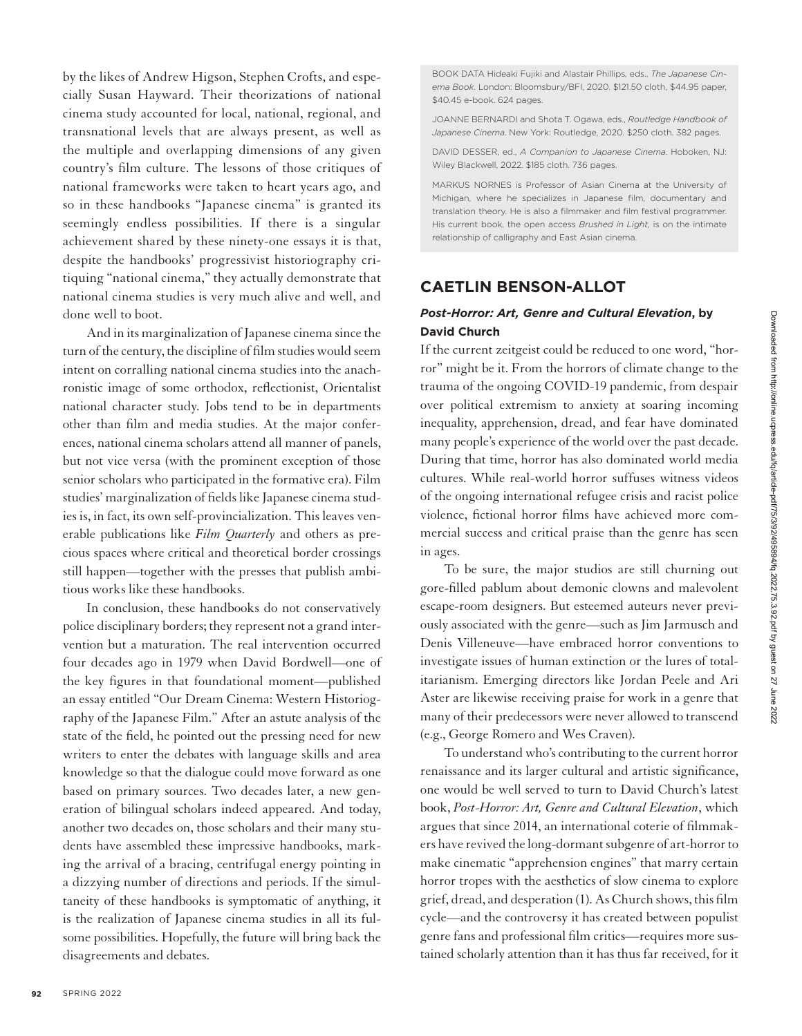by the likes of Andrew Higson, Stephen Crofts, and especially Susan Hayward. Their theorizations of national cinema study accounted for local, national, regional, and transnational levels that are always present, as well as the multiple and overlapping dimensions of any given country's film culture. The lessons of those critiques of national frameworks were taken to heart years ago, and so in these handbooks "Japanese cinema" is granted its seemingly endless possibilities. If there is a singular achievement shared by these ninety-one essays it is that, despite the handbooks' progressivist historiography critiquing "national cinema," they actually demonstrate that national cinema studies is very much alive and well, and done well to boot.

And in its marginalization of Japanese cinema since the turn of the century, the discipline of film studies would seem intent on corralling national cinema studies into the anachronistic image of some orthodox, reflectionist, Orientalist national character study. Jobs tend to be in departments other than film and media studies. At the major conferences, national cinema scholars attend all manner of panels, but not vice versa (with the prominent exception of those senior scholars who participated in the formative era). Film studies' marginalization of fields like Japanese cinema studies is, in fact, its own self-provincialization. This leaves venerable publications like *Film Quarterly* and others as precious spaces where critical and theoretical border crossings still happen—together with the presses that publish ambitious works like these handbooks.

In conclusion, these handbooks do not conservatively police disciplinary borders; they represent not a grand intervention but a maturation. The real intervention occurred four decades ago in 1979 when David Bordwell—one of the key figures in that foundational moment—published an essay entitled "Our Dream Cinema: Western Historiography of the Japanese Film." After an astute analysis of the state of the field, he pointed out the pressing need for new writers to enter the debates with language skills and area knowledge so that the dialogue could move forward as one based on primary sources. Two decades later, a new generation of bilingual scholars indeed appeared. And today, another two decades on, those scholars and their many students have assembled these impressive handbooks, marking the arrival of a bracing, centrifugal energy pointing in a dizzying number of directions and periods. If the simultaneity of these handbooks is symptomatic of anything, it is the realization of Japanese cinema studies in all its fulsome possibilities. Hopefully, the future will bring back the disagreements and debates.

BOOK DATA Hideaki Fujiki and Alastair Phillips*,* eds., *The Japanese Cinema Book*. London: Bloomsbury/BFI, 2020. \$121.50 cloth, \$44.95 paper, \$40.45 e-book. 624 pages.

JOANNE BERNARDI and Shota T. Ogawa, eds., *Routledge Handbook of Japanese Cinema*. New York: Routledge, 2020. \$250 cloth. 382 pages.

DAVID DESSER, ed., *A Companion to Japanese Cinema*. Hoboken, NJ: Wiley Blackwell, 2022. \$185 cloth. 736 pages.

MARKUS NORNES is Professor of Asian Cinema at the University of Michigan, where he specializes in Japanese film, documentary and translation theory. He is also a filmmaker and film festival programmer. His current book, the open access *Brushed in Light*, is on the intimate relationship of calligraphy and East Asian cinema.

## **CAETLIN BENSON-ALLOT**

## *Post-Horror: Art, Genre and Cultural Elevation***, by David Church**

If the current zeitgeist could be reduced to one word, "horror" might be it. From the horrors of climate change to the trauma of the ongoing COVID-19 pandemic, from despair over political extremism to anxiety at soaring incoming inequality, apprehension, dread, and fear have dominated many people's experience of the world over the past decade. During that time, horror has also dominated world media cultures. While real-world horror suffuses witness videos of the ongoing international refugee crisis and racist police violence, fictional horror films have achieved more commercial success and critical praise than the genre has seen in ages.

To be sure, the major studios are still churning out gore-filled pablum about demonic clowns and malevolent escape-room designers. But esteemed auteurs never previously associated with the genre—such as Jim Jarmusch and Denis Villeneuve—have embraced horror conventions to investigate issues of human extinction or the lures of totalitarianism. Emerging directors like Jordan Peele and Ari Aster are likewise receiving praise for work in a genre that many of their predecessors were never allowed to transcend (e.g., George Romero and Wes Craven).

To understand who's contributing to the current horror renaissance and its larger cultural and artistic significance, one would be well served to turn to David Church's latest book, *Post-Horror: Art, Genre and Cultural Elevation*, which argues that since 2014, an international coterie of filmmakers have revived the long-dormant subgenre of art-horror to make cinematic "apprehension engines" that marry certain horror tropes with the aesthetics of slow cinema to explore grief, dread, and desperation (1). As Church shows, this film cycle—and the controversy it has created between populist genre fans and professional film critics—requires more sustained scholarly attention than it has thus far received, for it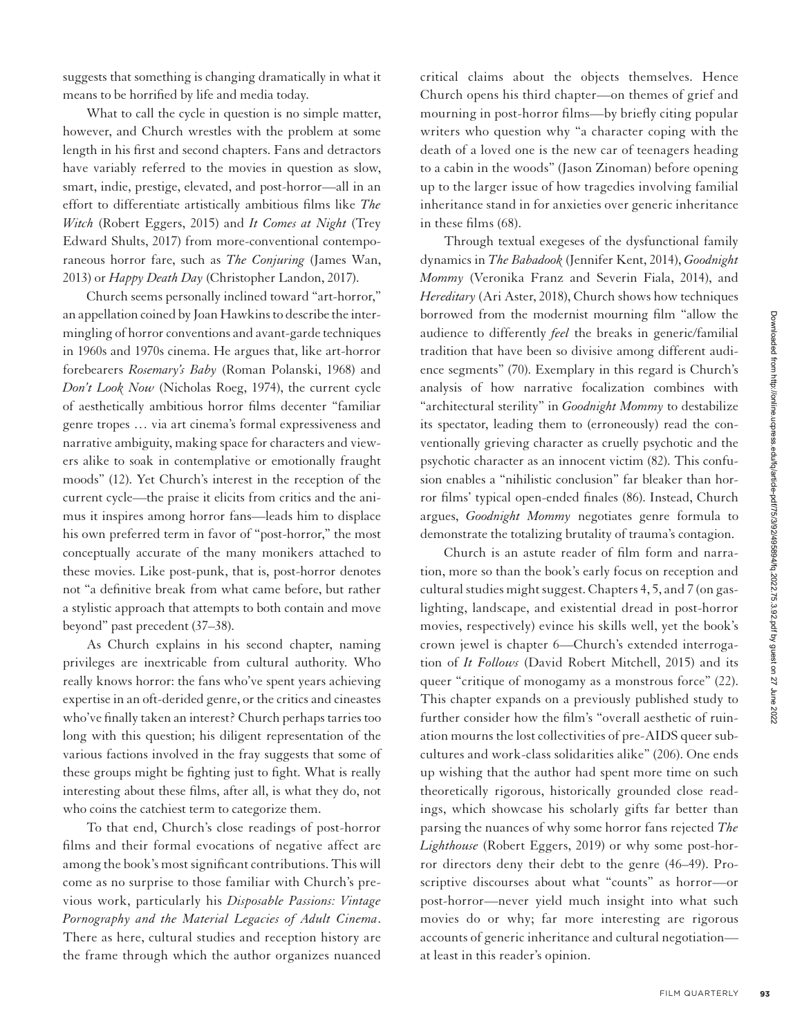suggests that something is changing dramatically in what it means to be horrified by life and media today.

What to call the cycle in question is no simple matter, however, and Church wrestles with the problem at some length in his first and second chapters. Fans and detractors have variably referred to the movies in question as slow, smart, indie, prestige, elevated, and post*-*horror—all in an effort to differentiate artistically ambitious films like *The Witch* (Robert Eggers, 2015) and *It Comes at Night* (Trey Edward Shults, 2017) from more-conventional contemporaneous horror fare, such as *The Conjuring* (James Wan, 2013) or *Happy Death Day* (Christopher Landon, 2017).

Church seems personally inclined toward "art-horror," an appellation coined by Joan Hawkins to describe the intermingling of horror conventions and avant-garde techniques in 1960s and 1970s cinema. He argues that, like art-horror forebearers *Rosemary's Baby* (Roman Polanski, 1968) and *Don't Look Now* (Nicholas Roeg, 1974), the current cycle of aesthetically ambitious horror films decenter "familiar genre tropes … via art cinema's formal expressiveness and narrative ambiguity, making space for characters and viewers alike to soak in contemplative or emotionally fraught moods" (12). Yet Church's interest in the reception of the current cycle—the praise it elicits from critics and the animus it inspires among horror fans—leads him to displace his own preferred term in favor of "post-horror," the most conceptually accurate of the many monikers attached to these movies. Like post-punk, that is, post-horror denotes not "a definitive break from what came before, but rather a stylistic approach that attempts to both contain and move beyond" past precedent (37–38).

As Church explains in his second chapter, naming privileges are inextricable from cultural authority. Who really knows horror: the fans who've spent years achieving expertise in an oft-derided genre, or the critics and cineastes who've finally taken an interest? Church perhaps tarries too long with this question; his diligent representation of the various factions involved in the fray suggests that some of these groups might be fighting just to fight. What is really interesting about these films, after all, is what they do, not who coins the catchiest term to categorize them.

To that end, Church's close readings of post-horror films and their formal evocations of negative affect are among the book's most significant contributions. This will come as no surprise to those familiar with Church's previous work, particularly his *Disposable Passions: Vintage Pornography and the Material Legacies of Adult Cinema*. There as here, cultural studies and reception history are the frame through which the author organizes nuanced critical claims about the objects themselves. Hence Church opens his third chapter—on themes of grief and mourning in post-horror films—by briefly citing popular writers who question why "a character coping with the death of a loved one is the new car of teenagers heading to a cabin in the woods" (Jason Zinoman) before opening up to the larger issue of how tragedies involving familial inheritance stand in for anxieties over generic inheritance in these films (68).

Through textual exegeses of the dysfunctional family dynamics in *The Babadook* (Jennifer Kent, 2014), *Goodnight Mommy* (Veronika Franz and Severin Fiala, 2014), and *Hereditary* (Ari Aster, 2018), Church shows how techniques borrowed from the modernist mourning film "allow the audience to differently *feel* the breaks in generic/familial tradition that have been so divisive among different audience segments" (70). Exemplary in this regard is Church's analysis of how narrative focalization combines with "architectural sterility" in *Goodnight Mommy* to destabilize its spectator, leading them to (erroneously) read the conventionally grieving character as cruelly psychotic and the psychotic character as an innocent victim (82). This confusion enables a "nihilistic conclusion" far bleaker than horror films' typical open-ended finales (86). Instead, Church argues, *Goodnight Mommy* negotiates genre formula to demonstrate the totalizing brutality of trauma's contagion.

Church is an astute reader of film form and narration, more so than the book's early focus on reception and cultural studies might suggest. Chapters 4, 5, and 7 (on gaslighting, landscape, and existential dread in post-horror movies, respectively) evince his skills well, yet the book's crown jewel is chapter 6—Church's extended interrogation of *It Follows* (David Robert Mitchell, 2015) and its queer "critique of monogamy as a monstrous force" (22). This chapter expands on a previously published study to further consider how the film's "overall aesthetic of ruination mourns the lost collectivities of pre-AIDS queer subcultures and work-class solidarities alike" (206). One ends up wishing that the author had spent more time on such theoretically rigorous, historically grounded close readings, which showcase his scholarly gifts far better than parsing the nuances of why some horror fans rejected *The Lighthouse* (Robert Eggers, 2019) or why some post-horror directors deny their debt to the genre (46–49). Proscriptive discourses about what "counts" as horror—or post-horror—never yield much insight into what such movies do or why; far more interesting are rigorous accounts of generic inheritance and cultural negotiation at least in this reader's opinion.